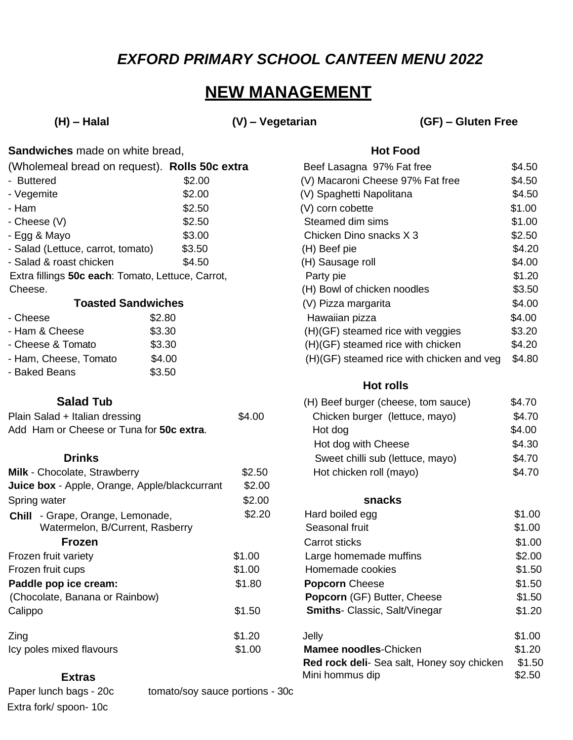## *EXFORD PRIMARY SCHOOL CANTEEN MENU 2022*

# **NEW MANAGEMENT**

**(H) – Halal (V) – Vegetarian (GF) – Gluten Free**

| <b>Sandwiches</b> made on white bread, | <b>Hot Food</b> |
|----------------------------------------|-----------------|
|----------------------------------------|-----------------|

| (Wholemeal bread on request). Rolls 50c extra     |        | Beef Lasagna 97% Fat free        | \$4.50 |
|---------------------------------------------------|--------|----------------------------------|--------|
| - Buttered                                        | \$2.00 | (V) Macaroni Cheese 97% Fat free | \$4.50 |
| - Vegemite                                        | \$2.00 | (V) Spaghetti Napolitana         | \$4.50 |
| - Ham                                             | \$2.50 | (V) corn cobette                 | \$1.00 |
| - Cheese (V)                                      | \$2.50 | Steamed dim sims                 | \$1.00 |
| - Egg & Mayo                                      | \$3.00 | Chicken Dino snacks X 3          | \$2.50 |
| - Salad (Lettuce, carrot, tomato)                 | \$3.50 | (H) Beef pie                     | \$4.20 |
| - Salad & roast chicken                           | \$4.50 | (H) Sausage roll                 | \$4.00 |
| Extra fillings 50c each: Tomato, Lettuce, Carrot, |        | Party pie                        | \$1.20 |
| Cheese.                                           |        | (H) Bowl of chicken noodles      | \$3.50 |
| <b>Toasted Sandwiches</b>                         |        | (V) Pizza margarita              | \$4.00 |

| - Cheese              | \$2.80 |
|-----------------------|--------|
| - Ham & Cheese        | \$3.30 |
| - Cheese & Tomato     | \$3.30 |
| - Ham, Cheese, Tomato | \$4.00 |
| - Baked Beans         | \$3.50 |

| Plain Salad + Italian dressing           | \$4.00 | Chicken burger (lettuce, mayo) | \$4.70 |
|------------------------------------------|--------|--------------------------------|--------|
| Add Ham or Cheese or Tuna for 50c extra. |        | Hot dog                        | \$4.00 |

| Milk - Chocolate, Strawberry                  | \$2.50 | Hot chicken roll (mayo)                         | \$4.70    |
|-----------------------------------------------|--------|-------------------------------------------------|-----------|
| Juice box - Apple, Orange, Apple/blackcurrant | \$2.00 |                                                 |           |
| Spring water                                  | \$2.00 | snacks                                          |           |
| - Grape, Orange, Lemonade,<br>Chill           | \$2.20 | Hard boiled egg                                 | \$1.00    |
| Watermelon, B/Current, Rasberry               |        | Seasonal fruit                                  | \$1.00    |
| <b>Frozen</b>                                 |        | Carrot sticks                                   | \$1.00    |
| Frozen fruit variety                          | \$1.00 | Large homemade muffins                          | \$2.00    |
| Frozen fruit cups                             | \$1.00 | Homemade cookies                                | \$1.50    |
| Paddle pop ice cream:                         | \$1.80 | <b>Popcorn</b> Cheese                           | \$1.50    |
| (Chocolate, Banana or Rainbow)                |        | <b>Popcorn (GF) Butter, Cheese</b>              | \$1.50    |
| Calippo                                       | \$1.50 | <b>Smiths-</b> Classic, Salt/Vinegar            | \$1.20    |
| Zing                                          | \$1.20 | Jelly                                           | \$1.00    |
| Icy poles mixed flavours                      | \$1.00 | <b>Mamee noodles-Chicken</b>                    | \$1.20    |
|                                               |        | <b>Bad rock doli</b> Son solt Honov soy chicken | $Q_1 E_0$ |

### **Extras**

Extra fork/ spoon- 10c

Paper lunch bags - 20c tomato/soy sauce portions - 30c

| (Wholemeal bread on request). <b>Rolls 50c extra</b> |        | Beet Lasagna 97% Fat free                 | \$4.50 |
|------------------------------------------------------|--------|-------------------------------------------|--------|
| - Buttered                                           | \$2.00 | (V) Macaroni Cheese 97% Fat free          | \$4.50 |
| - Vegemite                                           | \$2.00 | (V) Spaghetti Napolitana                  | \$4.50 |
| - Ham                                                | \$2.50 | (V) corn cobette                          | \$1.00 |
| - Cheese (V)                                         | \$2.50 | Steamed dim sims                          | \$1.00 |
| - Egg & Mayo                                         | \$3.00 | Chicken Dino snacks X 3                   | \$2.50 |
| - Salad (Lettuce, carrot, tomato)                    | \$3.50 | (H) Beef pie                              | \$4.20 |
| - Salad & roast chicken                              | \$4.50 | (H) Sausage roll                          | \$4.00 |
| Extra fillings 50c each: Tomato, Lettuce, Carrot,    |        | Party pie                                 | \$1.20 |
| Cheese.                                              |        | (H) Bowl of chicken noodles               | \$3.50 |
| <b>Toasted Sandwiches</b>                            |        | (V) Pizza margarita                       | \$4.00 |
| - Cheese                                             | \$2.80 | Hawaiian pizza                            | \$4.00 |
| - Ham & Cheese                                       | \$3.30 | (H)(GF) steamed rice with veggies         | \$3.20 |
| - Cheese & Tomato                                    | \$3.30 | (H)(GF) steamed rice with chicken         | \$4.20 |
| - Ham, Cheese, Tomato                                | \$4.00 | (H)(GF) steamed rice with chicken and veg | \$4.80 |
|                                                      |        |                                           |        |

### **Hot rolls**

| <b>Salad Tub</b>                 |        | (H) Beef burger (cheese, tom sauce) | \$4.70 |
|----------------------------------|--------|-------------------------------------|--------|
| t + Italian dressing             | \$4.00 | Chicken burger (lettuce, mayo)      | \$4.70 |
| or Cheese or Tuna for 50c extra. |        | Hot dog                             | \$4.00 |
|                                  |        | Hot dog with Cheese                 | \$4.30 |
| <b>Drinks</b>                    |        | Sweet chilli sub (lettuce, mayo)    | \$4.70 |
| colate, Strawberry               | \$2.50 | Hot chicken roll (mayo)             | \$4.70 |
|                                  |        |                                     |        |

| ape, Orange, Lemonade,       | \$2.20 | Hard boiled egg                            | \$1.00 |
|------------------------------|--------|--------------------------------------------|--------|
| ermelon, B/Current, Rasberry |        | Seasonal fruit                             | \$1.00 |
| Frozen                       |        | <b>Carrot sticks</b>                       | \$1.00 |
| variety                      | \$1.00 | Large homemade muffins                     | \$2.00 |
| cups                         | \$1.00 | Homemade cookies                           | \$1.50 |
| o ice cream:                 | \$1.80 | <b>Popcorn</b> Cheese                      | \$1.50 |
| Banana or Rainbow)           |        | <b>Popcorn (GF) Butter, Cheese</b>         | \$1.50 |
|                              | \$1.50 | <b>Smiths-Classic, Salt/Vinegar</b>        | \$1.20 |
|                              | \$1.20 | Jelly                                      | \$1.00 |
| ixed flavours                | \$1.00 | <b>Mamee noodles-Chicken</b>               | \$1.20 |
|                              |        | Red rock deli- Sea salt, Honey soy chicken | \$1.50 |
| <b>Extras</b>                |        | Mini hommus dip                            | \$2.50 |
|                              |        |                                            |        |